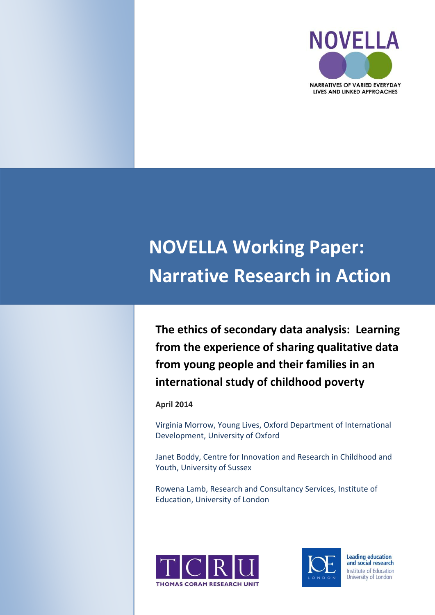

# **NOVELLA Working Paper: Narrative Research in Action**

**The ethics of secondary data analysis: Learning from the experience of sharing qualitative data from young people and their families in an international study of childhood poverty**

#### **April 2014**

Virginia Morrow, Young Lives, Oxford Department of International Development, University of Oxford

Janet Boddy, Centre for Innovation and Research in Childhood and Youth, University of Sussex

Rowena Lamb, Research and Consultancy Services, Institute of Education, University of London





**Leading education** and social research Institute of Education University of London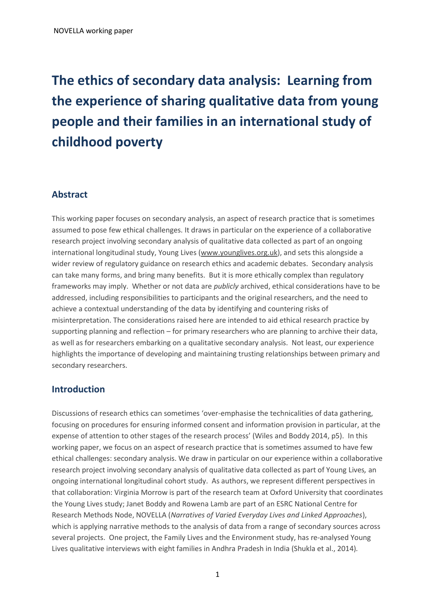## **The ethics of secondary data analysis: Learning from the experience of sharing qualitative data from young people and their families in an international study of childhood poverty**

## **Abstract**

This working paper focuses on secondary analysis, an aspect of research practice that is sometimes assumed to pose few ethical challenges. It draws in particular on the experience of a collaborative research project involving secondary analysis of qualitative data collected as part of an ongoing international longitudinal study, Young Lives [\(www.younglives.org.uk\)](http://www.younglives.org.uk/), and sets this alongside a wider review of regulatory guidance on research ethics and academic debates. Secondary analysis can take many forms, and bring many benefits. But it is more ethically complex than regulatory frameworks may imply. Whether or not data are *publicly* archived, ethical considerations have to be addressed, including responsibilities to participants and the original researchers, and the need to achieve a contextual understanding of the data by identifying and countering risks of misinterpretation. The considerations raised here are intended to aid ethical research practice by supporting planning and reflection – for primary researchers who are planning to archive their data, as well as for researchers embarking on a qualitative secondary analysis. Not least, our experience highlights the importance of developing and maintaining trusting relationships between primary and secondary researchers.

## **Introduction**

Discussions of research ethics can sometimes 'over-emphasise the technicalities of data gathering, focusing on procedures for ensuring informed consent and information provision in particular, at the expense of attention to other stages of the research process' (Wiles and Boddy 2014, p5). In this working paper, we focus on an aspect of research practice that is sometimes assumed to have few ethical challenges: secondary analysis. We draw in particular on our experience within a collaborative research project involving secondary analysis of qualitative data collected as part of Young Lives*,* an ongoing international longitudinal cohort study. As authors, we represent different perspectives in that collaboration: Virginia Morrow is part of the research team at Oxford University that coordinates the Young Lives study; Janet Boddy and Rowena Lamb are part of an ESRC National Centre for Research Methods Node, NOVELLA (*Narratives of Varied Everyday Lives and Linked Approaches*), which is applying narrative methods to the analysis of data from a range of secondary sources across several projects. One project, the Family Lives and the Environment study, has re-analysed Young Lives qualitative interviews with eight families in Andhra Pradesh in India (Shukla et al., 2014)*.*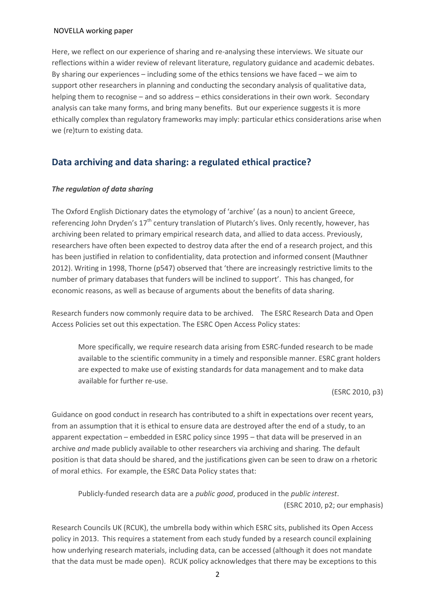Here, we reflect on our experience of sharing and re-analysing these interviews. We situate our reflections within a wider review of relevant literature, regulatory guidance and academic debates. By sharing our experiences – including some of the ethics tensions we have faced – we aim to support other researchers in planning and conducting the secondary analysis of qualitative data, helping them to recognise – and so address – ethics considerations in their own work. Secondary analysis can take many forms, and bring many benefits. But our experience suggests it is more ethically complex than regulatory frameworks may imply: particular ethics considerations arise when we (re)turn to existing data.

## **Data archiving and data sharing: a regulated ethical practice?**

#### *The regulation of data sharing*

The Oxford English Dictionary dates the etymology of 'archive' (as a noun) to ancient Greece, referencing John Dryden's  $17<sup>th</sup>$  century translation of Plutarch's lives. Only recently, however, has archiving been related to primary empirical research data, and allied to data access. Previously, researchers have often been expected to destroy data after the end of a research project, and this has been justified in relation to confidentiality, data protection and informed consent (Mauthner 2012). Writing in 1998, Thorne (p547) observed that 'there are increasingly restrictive limits to the number of primary databases that funders will be inclined to support'. This has changed, for economic reasons, as well as because of arguments about the benefits of data sharing.

Research funders now commonly require data to be archived. The ESRC Research Data and Open Access Policies set out this expectation. The ESRC Open Access Policy states:

More specifically, we require research data arising from ESRC-funded research to be made available to the scientific community in a timely and responsible manner. ESRC grant holders are expected to make use of existing standards for data management and to make data available for further re-use.

(ESRC 2010, p3)

Guidance on good conduct in research has contributed to a shift in expectations over recent years, from an assumption that it is ethical to ensure data are destroyed after the end of a study, to an apparent expectation – embedded in ESRC policy since 1995 – that data will be preserved in an archive *and* made publicly available to other researchers via archiving and sharing. The default position is that data should be shared, and the justifications given can be seen to draw on a rhetoric of moral ethics. For example, the ESRC Data Policy states that:

Publicly-funded research data are a *public good*, produced in the *public interest*. (ESRC 2010, p2; our emphasis)

Research Councils UK (RCUK), the umbrella body within which ESRC sits, published its Open Access policy in 2013. This requires a statement from each study funded by a research council explaining how underlying research materials, including data, can be accessed (although it does not mandate that the data must be made open). RCUK policy acknowledges that there may be exceptions to this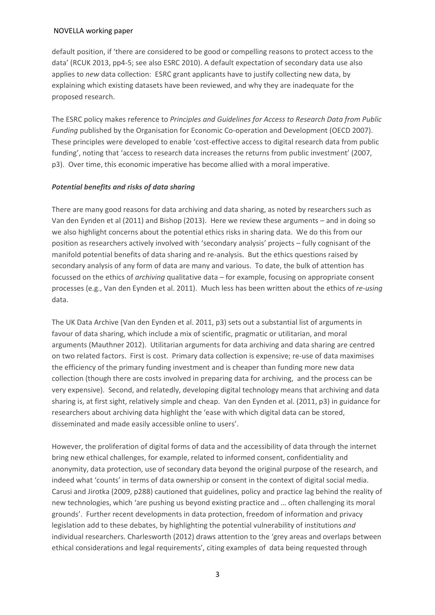default position, if 'there are considered to be good or compelling reasons to protect access to the data' (RCUK 2013, pp4-5; see also ESRC 2010). A default expectation of secondary data use also applies to *new* data collection: ESRC grant applicants have to justify collecting new data, by explaining which existing datasets have been reviewed, and why they are inadequate for the proposed research.

The ESRC policy makes reference to *Principles and Guidelines for Access to Research Data from Public Funding* published by the Organisation for Economic Co-operation and Development (OECD 2007). These principles were developed to enable 'cost-effective access to digital research data from public funding', noting that 'access to research data increases the returns from public investment' (2007, p3). Over time, this economic imperative has become allied with a moral imperative.

#### *Potential benefits and risks of data sharing*

There are many good reasons for data archiving and data sharing, as noted by researchers such as Van den Eynden et al (2011) and Bishop (2013). Here we review these arguments – and in doing so we also highlight concerns about the potential ethics risks in sharing data. We do this from our position as researchers actively involved with 'secondary analysis' projects – fully cognisant of the manifold potential benefits of data sharing and re-analysis. But the ethics questions raised by secondary analysis of any form of data are many and various. To date, the bulk of attention has focussed on the ethics of *archiving* qualitative data – for example, focusing on appropriate consent processes (e.g., Van den Eynden et al. 2011). Much less has been written about the ethics of *re-using* data.

The UK Data Archive (Van den Eynden et al. 2011, p3) sets out a substantial list of arguments in favour of data sharing, which include a mix of scientific, pragmatic or utilitarian, and moral arguments (Mauthner 2012). Utilitarian arguments for data archiving and data sharing are centred on two related factors. First is cost. Primary data collection is expensive; re-use of data maximises the efficiency of the primary funding investment and is cheaper than funding more new data collection (though there are costs involved in preparing data for archiving, and the process can be very expensive). Second, and relatedly, developing digital technology means that archiving and data sharing is, at first sight, relatively simple and cheap. Van den Eynden et al. (2011, p3) in guidance for researchers about archiving data highlight the 'ease with which digital data can be stored, disseminated and made easily accessible online to users'.

However, the proliferation of digital forms of data and the accessibility of data through the internet bring new ethical challenges, for example, related to informed consent, confidentiality and anonymity, data protection, use of secondary data beyond the original purpose of the research, and indeed what 'counts' in terms of data ownership or consent in the context of digital social media. Carusi and Jirotka (2009, p288) cautioned that guidelines, policy and practice lag behind the reality of new technologies, which 'are pushing us beyond existing practice and … often challenging its moral grounds'. Further recent developments in data protection, freedom of information and privacy legislation add to these debates, by highlighting the potential vulnerability of institutions *and*  individual researchers. Charlesworth (2012) draws attention to the 'grey areas and overlaps between ethical considerations and legal requirements', citing examples of data being requested through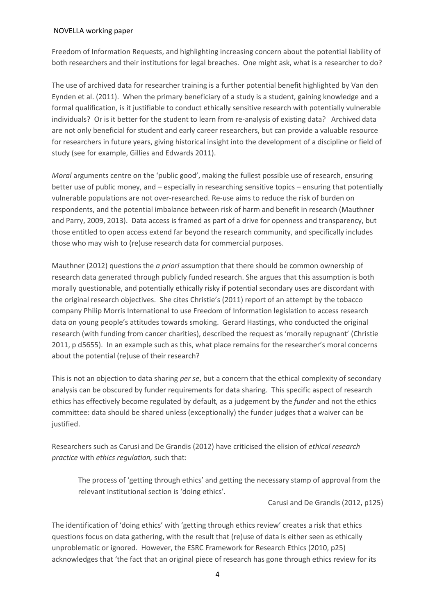Freedom of Information Requests, and highlighting increasing concern about the potential liability of both researchers and their institutions for legal breaches. One might ask, what is a researcher to do?

The use of archived data for researcher training is a further potential benefit highlighted by Van den Eynden et al. (2011). When the primary beneficiary of a study is a student, gaining knowledge and a formal qualification, is it justifiable to conduct ethically sensitive research with potentially vulnerable individuals? Or is it better for the student to learn from re-analysis of existing data? Archived data are not only beneficial for student and early career researchers, but can provide a valuable resource for researchers in future years, giving historical insight into the development of a discipline or field of study (see for example, Gillies and Edwards 2011).

*Moral* arguments centre on the 'public good', making the fullest possible use of research, ensuring better use of public money, and – especially in researching sensitive topics – ensuring that potentially vulnerable populations are not over-researched. Re-use aims to reduce the risk of burden on respondents, and the potential imbalance between risk of harm and benefit in research (Mauthner and Parry, 2009, 2013). Data access is framed as part of a drive for openness and transparency, but those entitled to open access extend far beyond the research community, and specifically includes those who may wish to (re)use research data for commercial purposes.

Mauthner (2012) questions the *a priori* assumption that there should be common ownership of research data generated through publicly funded research. She argues that this assumption is both morally questionable, and potentially ethically risky if potential secondary uses are discordant with the original research objectives. She cites Christie's (2011) report of an attempt by the tobacco company Philip Morris International to use Freedom of Information legislation to access research data on young people's attitudes towards smoking. Gerard Hastings, who conducted the original research (with funding from cancer charities), described the request as 'morally repugnant' (Christie 2011, p d5655). In an example such as this, what place remains for the researcher's moral concerns about the potential (re)use of their research?

This is not an objection to data sharing *per se*, but a concern that the ethical complexity of secondary analysis can be obscured by funder requirements for data sharing. This specific aspect of research ethics has effectively become regulated by default, as a judgement by the *funder* and not the ethics committee: data should be shared unless (exceptionally) the funder judges that a waiver can be justified.

Researchers such as Carusi and De Grandis (2012) have criticised the elision of *ethical research practice* with *ethics regulation,* such that:

The process of 'getting through ethics' and getting the necessary stamp of approval from the relevant institutional section is 'doing ethics'.

Carusi and De Grandis (2012, p125)

The identification of 'doing ethics' with 'getting through ethics review' creates a risk that ethics questions focus on data gathering, with the result that (re)use of data is either seen as ethically unproblematic or ignored. However, the ESRC Framework for Research Ethics (2010, p25) acknowledges that 'the fact that an original piece of research has gone through ethics review for its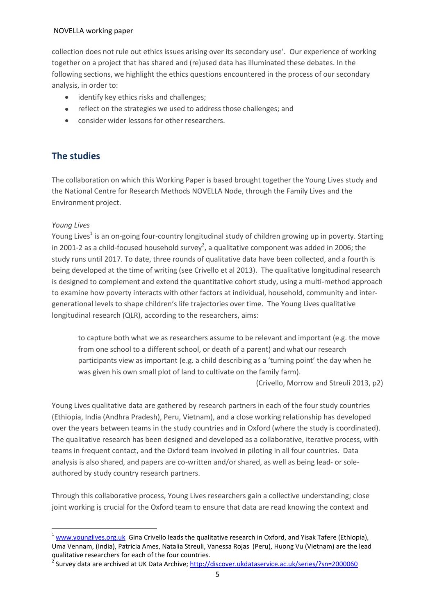collection does not rule out ethics issues arising over its secondary use'. Our experience of working together on a project that has shared and (re)used data has illuminated these debates. In the following sections, we highlight the ethics questions encountered in the process of our secondary analysis, in order to:

- identify key ethics risks and challenges;
- reflect on the strategies we used to address those challenges; and
- consider wider lessons for other researchers.

## **The studies**

The collaboration on which this Working Paper is based brought together the Young Lives study and the National Centre for Research Methods NOVELLA Node, through the Family Lives and the Environment project.

#### *Young Lives*

Young Lives $^1$  is an on-going four-country longitudinal study of children growing up in poverty. Starting in 2001-2 as a child-focused household survey<sup>2</sup>, a qualitative component was added in 2006; the study runs until 2017. To date, three rounds of qualitative data have been collected, and a fourth is being developed at the time of writing (see Crivello et al 2013). The qualitative longitudinal research is designed to complement and extend the quantitative cohort study, using a multi-method approach to examine how poverty interacts with other factors at individual, household, community and intergenerational levels to shape children's life trajectories over time. The Young Lives qualitative longitudinal research (QLR), according to the researchers, aims:

to capture both what we as researchers assume to be relevant and important (e.g. the move from one school to a different school, or death of a parent) and what our research participants view as important (e.g. a child describing as a 'turning point' the day when he was given his own small plot of land to cultivate on the family farm).

(Crivello, Morrow and Streuli 2013, p2)

Young Lives qualitative data are gathered by research partners in each of the four study countries (Ethiopia, India (Andhra Pradesh), Peru, Vietnam), and a close working relationship has developed over the years between teams in the study countries and in Oxford (where the study is coordinated). The qualitative research has been designed and developed as a collaborative, iterative process, with teams in frequent contact, and the Oxford team involved in piloting in all four countries. Data analysis is also shared, and papers are co-written and/or shared, as well as being lead- or soleauthored by study country research partners.

Through this collaborative process, Young Lives researchers gain a collective understanding; close joint working is crucial for the Oxford team to ensure that data are read knowing the context and

 $\overline{\phantom{a}}$  $1$  [www.younglives.org.uk](http://www.younglives.org.uk/) Gina Crivello leads the qualitative research in Oxford, and Yisak Tafere (Ethiopia), Uma Vennam, (India), Patricia Ames, Natalia Streuli, Vanessa Rojas (Peru), Huong Vu (Vietnam) are the lead qualitative researchers for each of the four countries.

<sup>&</sup>lt;sup>2</sup> Survey data are archived at UK Data Archive; <u>http://discover.ukdataservice.ac.uk/series/?sn=2000060</u>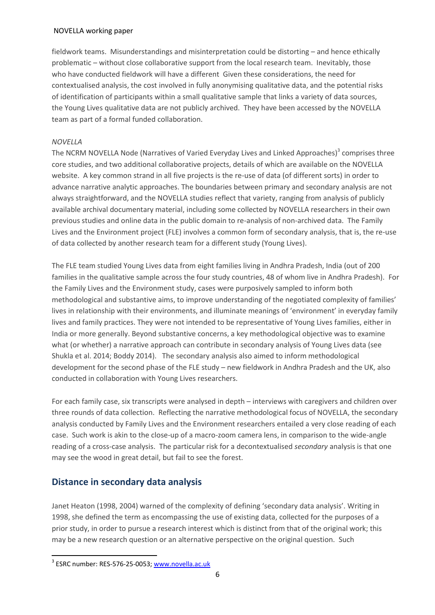fieldwork teams. Misunderstandings and misinterpretation could be distorting – and hence ethically problematic – without close collaborative support from the local research team. Inevitably, those who have conducted fieldwork will have a different Given these considerations, the need for contextualised analysis, the cost involved in fully anonymising qualitative data, and the potential risks of identification of participants within a small qualitative sample that links a variety of data sources, the Young Lives qualitative data are not publicly archived. They have been accessed by the NOVELLA team as part of a formal funded collaboration.

#### *NOVELLA*

The NCRM NOVELLA Node (Narratives of Varied Everyday Lives and Linked Approaches)<sup>3</sup> comprises three core studies, and two additional collaborative projects, details of which are available on the NOVELLA website. A key common strand in all five projects is the re-use of data (of different sorts) in order to advance narrative analytic approaches. The boundaries between primary and secondary analysis are not always straightforward, and the NOVELLA studies reflect that variety, ranging from analysis of publicly available archival documentary material, including some collected by NOVELLA researchers in their own previous studies and online data in the public domain to re-analysis of non-archived data. The Family Lives and the Environment project (FLE) involves a common form of secondary analysis, that is, the re-use of data collected by another research team for a different study (Young Lives).

The FLE team studied Young Lives data from eight families living in Andhra Pradesh, India (out of 200 families in the qualitative sample across the four study countries, 48 of whom live in Andhra Pradesh). For the Family Lives and the Environment study, cases were purposively sampled to inform both methodological and substantive aims, to improve understanding of the negotiated complexity of families' lives in relationship with their environments, and illuminate meanings of 'environment' in everyday family lives and family practices. They were not intended to be representative of Young Lives families, either in India or more generally. Beyond substantive concerns, a key methodological objective was to examine what (or whether) a narrative approach can contribute in secondary analysis of Young Lives data (see Shukla et al. 2014; Boddy 2014). The secondary analysis also aimed to inform methodological development for the second phase of the FLE study – new fieldwork in Andhra Pradesh and the UK, also conducted in collaboration with Young Lives researchers.

For each family case, six transcripts were analysed in depth – interviews with caregivers and children over three rounds of data collection. Reflecting the narrative methodological focus of NOVELLA, the secondary analysis conducted by Family Lives and the Environment researchers entailed a very close reading of each case. Such work is akin to the close-up of a macro-zoom camera lens, in comparison to the wide-angle reading of a cross-case analysis. The particular risk for a decontextualised *secondary* analysis is that one may see the wood in great detail, but fail to see the forest.

## **Distance in secondary data analysis**

Janet Heaton (1998, 2004) warned of the complexity of defining 'secondary data analysis'. Writing in 1998, she defined the term as encompassing the use of existing data, collected for the purposes of a prior study, in order to pursue a research interest which is distinct from that of the original work; this may be a new research question or an alternative perspective on the original question. Such

 $\overline{\phantom{a}}$ <sup>3</sup> ESRC number: RES-576-25-0053; <u>www.novella.ac.uk</u>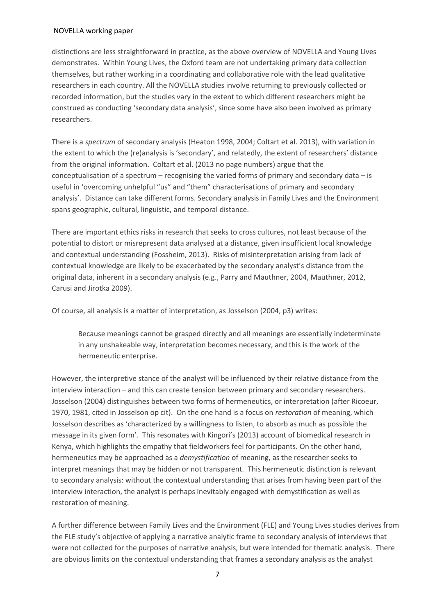distinctions are less straightforward in practice, as the above overview of NOVELLA and Young Lives demonstrates. Within Young Lives, the Oxford team are not undertaking primary data collection themselves, but rather working in a coordinating and collaborative role with the lead qualitative researchers in each country. All the NOVELLA studies involve returning to previously collected or recorded information, but the studies vary in the extent to which different researchers might be construed as conducting 'secondary data analysis', since some have also been involved as primary researchers.

There is a *spectrum* of secondary analysis (Heaton 1998, 2004; Coltart et al. 2013), with variation in the extent to which the (re)analysis is 'secondary', and relatedly, the extent of researchers' distance from the original information. Coltart et al. (2013 no page numbers) argue that the conceptualisation of a spectrum – recognising the varied forms of primary and secondary data – is useful in 'overcoming unhelpful "us" and "them" characterisations of primary and secondary analysis'. Distance can take different forms. Secondary analysis in Family Lives and the Environment spans geographic, cultural, linguistic, and temporal distance.

There are important ethics risks in research that seeks to cross cultures, not least because of the potential to distort or misrepresent data analysed at a distance, given insufficient local knowledge and contextual understanding (Fossheim, 2013). Risks of misinterpretation arising from lack of contextual knowledge are likely to be exacerbated by the secondary analyst's distance from the original data, inherent in a secondary analysis (e.g., Parry and Mauthner, 2004, Mauthner, 2012, Carusi and Jirotka 2009).

Of course, all analysis is a matter of interpretation, as Josselson (2004, p3) writes:

Because meanings cannot be grasped directly and all meanings are essentially indeterminate in any unshakeable way, interpretation becomes necessary, and this is the work of the hermeneutic enterprise.

However, the interpretive stance of the analyst will be influenced by their relative distance from the interview interaction – and this can create tension between primary and secondary researchers. Josselson (2004) distinguishes between two forms of hermeneutics, or interpretation (after Ricoeur, 1970, 1981, cited in Josselson op cit). On the one hand is a focus on *restoration* of meaning, which Josselson describes as 'characterized by a willingness to listen, to absorb as much as possible the message in its given form'. This resonates with Kingori's (2013) account of biomedical research in Kenya, which highlights the empathy that fieldworkers feel for participants. On the other hand, hermeneutics may be approached as a *demystification* of meaning, as the researcher seeks to interpret meanings that may be hidden or not transparent. This hermeneutic distinction is relevant to secondary analysis: without the contextual understanding that arises from having been part of the interview interaction, the analyst is perhaps inevitably engaged with demystification as well as restoration of meaning.

A further difference between Family Lives and the Environment (FLE) and Young Lives studies derives from the FLE study's objective of applying a narrative analytic frame to secondary analysis of interviews that were not collected for the purposes of narrative analysis, but were intended for thematic analysis. There are obvious limits on the contextual understanding that frames a secondary analysis as the analyst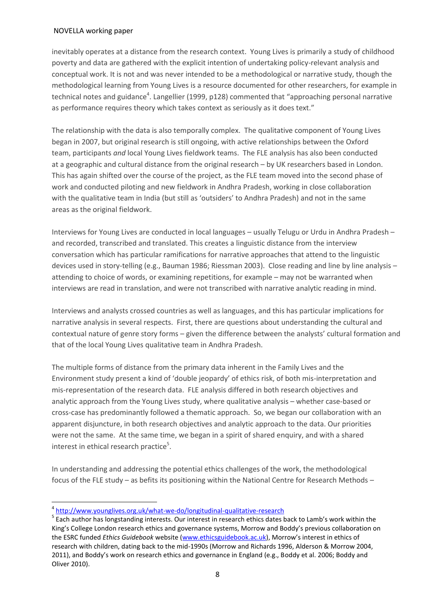inevitably operates at a distance from the research context. Young Lives is primarily a study of childhood poverty and data are gathered with the explicit intention of undertaking policy-relevant analysis and conceptual work. It is not and was never intended to be a methodological or narrative study, though the methodological learning from Young Lives is a resource documented for other researchers, for example in technical notes and guidance<sup>4</sup>. Langellier (1999, p128) commented that "approaching personal narrative as performance requires theory which takes context as seriously as it does text."

The relationship with the data is also temporally complex. The qualitative component of Young Lives began in 2007, but original research is still ongoing, with active relationships between the Oxford team, participants *and* local Young Lives fieldwork teams. The FLE analysis has also been conducted at a geographic and cultural distance from the original research – by UK researchers based in London. This has again shifted over the course of the project, as the FLE team moved into the second phase of work and conducted piloting and new fieldwork in Andhra Pradesh, working in close collaboration with the qualitative team in India (but still as 'outsiders' to Andhra Pradesh) and not in the same areas as the original fieldwork.

Interviews for Young Lives are conducted in local languages – usually Telugu or Urdu in Andhra Pradesh – and recorded, transcribed and translated. This creates a linguistic distance from the interview conversation which has particular ramifications for narrative approaches that attend to the linguistic devices used in story-telling (e.g., Bauman 1986; Riessman 2003). Close reading and line by line analysis – attending to choice of words, or examining repetitions, for example – may not be warranted when interviews are read in translation, and were not transcribed with narrative analytic reading in mind.

Interviews and analysts crossed countries as well as languages, and this has particular implications for narrative analysis in several respects. First, there are questions about understanding the cultural and contextual nature of genre story forms – given the difference between the analysts' cultural formation and that of the local Young Lives qualitative team in Andhra Pradesh.

The multiple forms of distance from the primary data inherent in the Family Lives and the Environment study present a kind of 'double jeopardy' of ethics risk, of both mis-interpretation and mis-representation of the research data. FLE analysis differed in both research objectives and analytic approach from the Young Lives study, where qualitative analysis – whether case-based or cross-case has predominantly followed a thematic approach. So, we began our collaboration with an apparent disjuncture, in both research objectives and analytic approach to the data. Our priorities were not the same. At the same time, we began in a spirit of shared enquiry, and with a shared interest in ethical research practice<sup>5</sup>.

In understanding and addressing the potential ethics challenges of the work, the methodological focus of the FLE study – as befits its positioning within the National Centre for Research Methods –

 $\overline{a}$ 

<sup>&</sup>lt;sup>4</sup> <http://www.younglives.org.uk/what-we-do/longitudinal-qualitative-research>

<sup>&</sup>lt;sup>5</sup> Each author has longstanding interests. Our interest in research ethics dates back to Lamb's work within the King's College London research ethics and governance systems, Morrow and Boddy's previous collaboration on the ESRC funded *Ethics Guidebook* website [\(www.ethicsguidebook.ac.uk](http://www.ethicsguidebook.ac.uk/)), Morrow's interest in ethics of research with children, dating back to the mid-1990s (Morrow and Richards 1996, Alderson & Morrow 2004, 2011), and Boddy's work on research ethics and governance in England (e.g., Boddy et al. 2006; Boddy and Oliver 2010).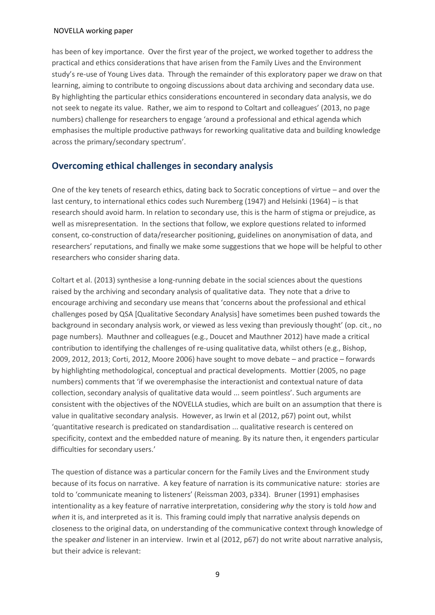has been of key importance. Over the first year of the project, we worked together to address the practical and ethics considerations that have arisen from the Family Lives and the Environment study's re-use of Young Lives data. Through the remainder of this exploratory paper we draw on that learning, aiming to contribute to ongoing discussions about data archiving and secondary data use. By highlighting the particular ethics considerations encountered in secondary data analysis, we do not seek to negate its value. Rather, we aim to respond to Coltart and colleagues' (2013, no page numbers) challenge for researchers to engage 'around a professional and ethical agenda which emphasises the multiple productive pathways for reworking qualitative data and building knowledge across the primary/secondary spectrum'.

## **Overcoming ethical challenges in secondary analysis**

One of the key tenets of research ethics, dating back to Socratic conceptions of virtue – and over the last century, to international ethics codes such Nuremberg (1947) and Helsinki (1964) – is that research should avoid harm. In relation to secondary use, this is the harm of stigma or prejudice, as well as misrepresentation. In the sections that follow, we explore questions related to informed consent, co-construction of data/researcher positioning, guidelines on anonymisation of data, and researchers' reputations, and finally we make some suggestions that we hope will be helpful to other researchers who consider sharing data.

Coltart et al. (2013) synthesise a long-running debate in the social sciences about the questions raised by the archiving and secondary analysis of qualitative data. They note that a drive to encourage archiving and secondary use means that 'concerns about the professional and ethical challenges posed by QSA [Qualitative Secondary Analysis] have sometimes been pushed towards the background in secondary analysis work, or viewed as less vexing than previously thought' (op. cit., no page numbers). Mauthner and colleagues (e.g., Doucet and Mauthner 2012) have made a critical contribution to identifying the challenges of re-using qualitative data, whilst others (e.g., Bishop, 2009, 2012, 2013; Corti, 2012, Moore 2006) have sought to move debate – and practice – forwards by highlighting methodological, conceptual and practical developments. Mottier (2005, no page numbers) comments that 'if we overemphasise the interactionist and contextual nature of data collection, secondary analysis of qualitative data would ... seem pointless'. Such arguments are consistent with the objectives of the NOVELLA studies, which are built on an assumption that there is value in qualitative secondary analysis. However, as Irwin et al (2012, p67) point out, whilst 'quantitative research is predicated on standardisation ... qualitative research is centered on specificity, context and the embedded nature of meaning. By its nature then, it engenders particular difficulties for secondary users.'

The question of distance was a particular concern for the Family Lives and the Environment study because of its focus on narrative. A key feature of narration is its communicative nature: stories are told to 'communicate meaning to listeners' (Reissman 2003, p334). Bruner (1991) emphasises intentionality as a key feature of narrative interpretation, considering *why* the story is told *how* and *when* it is, and interpreted as it is. This framing could imply that narrative analysis depends on closeness to the original data, on understanding of the communicative context through knowledge of the speaker *and* listener in an interview. Irwin et al (2012, p67) do not write about narrative analysis, but their advice is relevant: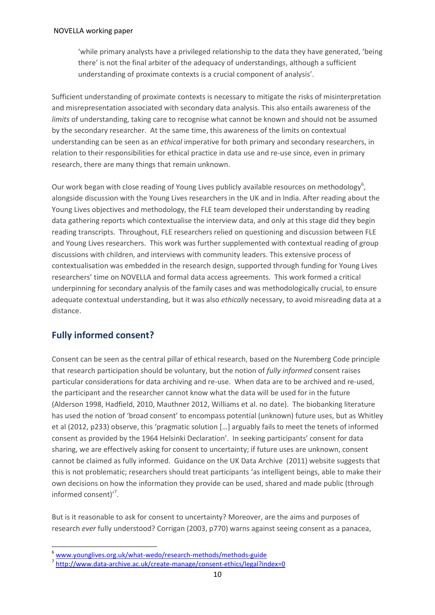'while primary analysts have a privileged relationship to the data they have generated, 'being there' is not the final arbiter of the adequacy of understandings, although a sufficient understanding of proximate contexts is a crucial component of analysis'.

Sufficient understanding of proximate contexts is necessary to mitigate the risks of misinterpretation and misrepresentation associated with secondary data analysis. This also entails awareness of the *limits* of understanding, taking care to recognise what cannot be known and should not be assumed by the secondary researcher. At the same time, this awareness of the limits on contextual understanding can be seen as an *ethical* imperative for both primary and secondary researchers, in relation to their responsibilities for ethical practice in data use and re-use since, even in primary research, there are many things that remain unknown.

Our work began with close reading of Young Lives publicly available resources on methodology<sup>6</sup>, alongside discussion with the Young Lives researchers in the UK and in India. After reading about the Young Lives objectives and methodology, the FLE team developed their understanding by reading data gathering reports which contextualise the interview data, and only at this stage did they begin reading transcripts. Throughout, FLE researchers relied on questioning and discussion between FLE and Young Lives researchers. This work was further supplemented with contextual reading of group discussions with children, and interviews with community leaders. This extensive process of contextualisation was embedded in the research design, supported through funding for Young Lives researchers' time on NOVELLA and formal data access agreements. This work formed a critical underpinning for secondary analysis of the family cases and was methodologically crucial, to ensure adequate contextual understanding, but it was also *ethically* necessary, to avoid misreading data at a distance.

## **Fully informed consent?**

 $\overline{a}$ 

Consent can be seen as the central pillar of ethical research, based on the Nuremberg Code principle that research participation should be voluntary, but the notion of *fully informed* consent raises particular considerations for data archiving and re-use. When data are to be archived and re-used, the participant and the researcher cannot know what the data will be used for in the future (Alderson 1998, Hadfield, 2010, Mauthner 2012, Williams et al. no date). The biobanking literature has used the notion of 'broad consent' to encompass potential (unknown) future uses, but as Whitley et al (2012, p233) observe, this 'pragmatic solution […] arguably fails to meet the tenets of informed consent as provided by the 1964 Helsinki Declaration'. In seeking participants' consent for data sharing, we are effectively asking for consent to uncertainty; if future uses are unknown, consent cannot be claimed as fully informed. Guidance on the UK Data Archive (2011) website suggests that this is not problematic; researchers should treat participants 'as intelligent beings, able to make their own decisions on how the information they provide can be used, shared and made public (through informed consent)'<sup>7</sup>.

But is it reasonable to ask for consent to uncertainty? Moreover, are the aims and purposes of research *ever* fully understood? Corrigan (2003, p770) warns against seeing consent as a panacea,

<sup>6</sup> [www.younglives.org.uk/what-wedo/research-methods/methods-guide](http://www.younglives.org.uk/what-wedo/research-methods/methods-guide)

<sup>&</sup>lt;sup>7</sup> <http://www.data-archive.ac.uk/create-manage/consent-ethics/legal?index=0>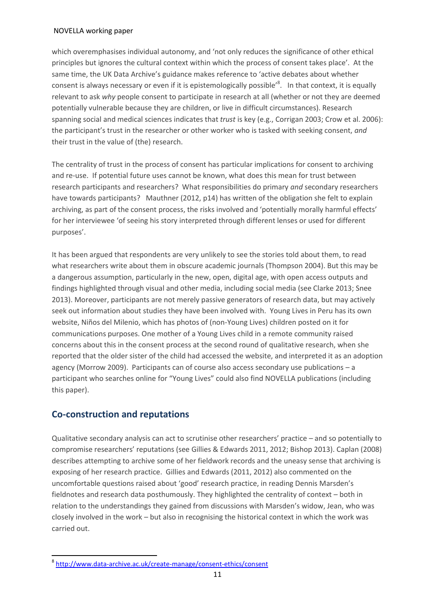which overemphasises individual autonomy, and 'not only reduces the significance of other ethical principles but ignores the cultural context within which the process of consent takes place'. At the same time, the UK Data Archive's guidance makes reference to 'active debates about whether consent is always necessary or even if it is epistemologically possible<sup>'8</sup>. In that context, it is equally relevant to ask *why* people consent to participate in research at all (whether or not they are deemed potentially vulnerable because they are children, or live in difficult circumstances). Research spanning social and medical sciences indicates that *trust* is key (e.g., Corrigan 2003; Crow et al. 2006): the participant's trust in the researcher or other worker who is tasked with seeking consent, *and*  their trust in the value of (the) research.

The centrality of trust in the process of consent has particular implications for consent to archiving and re-use. If potential future uses cannot be known, what does this mean for trust between research participants and researchers? What responsibilities do primary *and* secondary researchers have towards participants? Mauthner (2012, p14) has written of the obligation she felt to explain archiving, as part of the consent process, the risks involved and 'potentially morally harmful effects' for her interviewee 'of seeing his story interpreted through different lenses or used for different purposes'.

It has been argued that respondents are very unlikely to see the stories told about them, to read what researchers write about them in obscure academic journals (Thompson 2004). But this may be a dangerous assumption, particularly in the new, open, digital age, with open access outputs and findings highlighted through visual and other media, including social media (see Clarke 2013; Snee 2013). Moreover, participants are not merely passive generators of research data, but may actively seek out information about studies they have been involved with. Young Lives in Peru has its own website, Niños del Milenio, which has photos of (non-Young Lives) children posted on it for communications purposes. One mother of a Young Lives child in a remote community raised concerns about this in the consent process at the second round of qualitative research, when she reported that the older sister of the child had accessed the website, and interpreted it as an adoption agency (Morrow 2009). Participants can of course also access secondary use publications – a participant who searches online for "Young Lives" could also find NOVELLA publications (including this paper).

## **Co-construction and reputations**

 $\overline{\phantom{a}}$ 

Qualitative secondary analysis can act to scrutinise other researchers' practice – and so potentially to compromise researchers' reputations (see Gillies & Edwards 2011, 2012; Bishop 2013). Caplan (2008) describes attempting to archive some of her fieldwork records and the uneasy sense that archiving is exposing of her research practice. Gillies and Edwards (2011, 2012) also commented on the uncomfortable questions raised about 'good' research practice, in reading Dennis Marsden's fieldnotes and research data posthumously. They highlighted the centrality of context – both in relation to the understandings they gained from discussions with Marsden's widow, Jean, who was closely involved in the work – but also in recognising the historical context in which the work was carried out.

<sup>&</sup>lt;sup>8</sup> <http://www.data-archive.ac.uk/create-manage/consent-ethics/consent>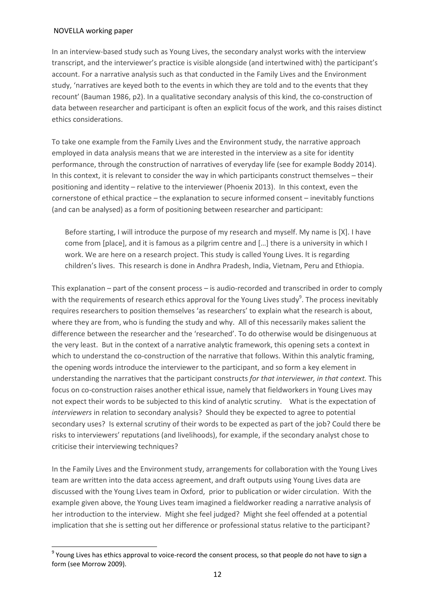$\overline{a}$ 

In an interview-based study such as Young Lives, the secondary analyst works with the interview transcript, and the interviewer's practice is visible alongside (and intertwined with) the participant's account. For a narrative analysis such as that conducted in the Family Lives and the Environment study, 'narratives are keyed both to the events in which they are told and to the events that they recount' (Bauman 1986, p2). In a qualitative secondary analysis of this kind, the co-construction of data between researcher and participant is often an explicit focus of the work, and this raises distinct ethics considerations.

To take one example from the Family Lives and the Environment study, the narrative approach employed in data analysis means that we are interested in the interview as a site for identity performance, through the construction of narratives of everyday life (see for example Boddy 2014). In this context, it is relevant to consider the way in which participants construct themselves – their positioning and identity – relative to the interviewer (Phoenix 2013). In this context, even the cornerstone of ethical practice – the explanation to secure informed consent – inevitably functions (and can be analysed) as a form of positioning between researcher and participant:

Before starting, I will introduce the purpose of my research and myself. My name is [X]. I have come from [place], and it is famous as a pilgrim centre and […] there is a university in which I work. We are here on a research project. This study is called Young Lives. It is regarding children's lives. This research is done in Andhra Pradesh, India, Vietnam, Peru and Ethiopia.

This explanation – part of the consent process – is audio-recorded and transcribed in order to comply with the requirements of research ethics approval for the Young Lives study<sup>9</sup>. The process inevitably requires researchers to position themselves 'as researchers' to explain what the research is about, where they are from, who is funding the study and why. All of this necessarily makes salient the difference between the researcher and the 'researched'. To do otherwise would be disingenuous at the very least. But in the context of a narrative analytic framework, this opening sets a context in which to understand the co-construction of the narrative that follows. Within this analytic framing, the opening words introduce the interviewer to the participant, and so form a key element in understanding the narratives that the participant constructs *for that interviewer, in that context.* This focus on co-construction raises another ethical issue, namely that fieldworkers in Young Lives may not expect their words to be subjected to this kind of analytic scrutiny. What is the expectation of *interviewers* in relation to secondary analysis? Should they be expected to agree to potential secondary uses? Is external scrutiny of their words to be expected as part of the job? Could there be risks to interviewers' reputations (and livelihoods), for example, if the secondary analyst chose to criticise their interviewing techniques?

In the Family Lives and the Environment study, arrangements for collaboration with the Young Lives team are written into the data access agreement, and draft outputs using Young Lives data are discussed with the Young Lives team in Oxford, prior to publication or wider circulation. With the example given above, the Young Lives team imagined a fieldworker reading a narrative analysis of her introduction to the interview. Might she feel judged? Might she feel offended at a potential implication that she is setting out her difference or professional status relative to the participant?

 $^9$  Young Lives has ethics approval to voice-record the consent process, so that people do not have to sign a form (see Morrow 2009).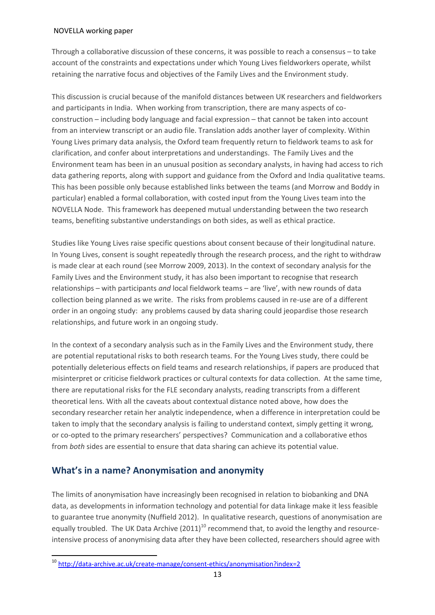Through a collaborative discussion of these concerns, it was possible to reach a consensus – to take account of the constraints and expectations under which Young Lives fieldworkers operate, whilst retaining the narrative focus and objectives of the Family Lives and the Environment study.

This discussion is crucial because of the manifold distances between UK researchers and fieldworkers and participants in India. When working from transcription, there are many aspects of coconstruction – including body language and facial expression – that cannot be taken into account from an interview transcript or an audio file. Translation adds another layer of complexity. Within Young Lives primary data analysis, the Oxford team frequently return to fieldwork teams to ask for clarification, and confer about interpretations and understandings. The Family Lives and the Environment team has been in an unusual position as secondary analysts, in having had access to rich data gathering reports, along with support and guidance from the Oxford and India qualitative teams. This has been possible only because established links between the teams (and Morrow and Boddy in particular) enabled a formal collaboration, with costed input from the Young Lives team into the NOVELLA Node. This framework has deepened mutual understanding between the two research teams, benefiting substantive understandings on both sides, as well as ethical practice.

Studies like Young Lives raise specific questions about consent because of their longitudinal nature. In Young Lives, consent is sought repeatedly through the research process, and the right to withdraw is made clear at each round (see Morrow 2009, 2013). In the context of secondary analysis for the Family Lives and the Environment study, it has also been important to recognise that research relationships – with participants *and* local fieldwork teams – are 'live', with new rounds of data collection being planned as we write. The risks from problems caused in re-use are of a different order in an ongoing study: any problems caused by data sharing could jeopardise those research relationships, and future work in an ongoing study.

In the context of a secondary analysis such as in the Family Lives and the Environment study, there are potential reputational risks to both research teams. For the Young Lives study, there could be potentially deleterious effects on field teams and research relationships, if papers are produced that misinterpret or criticise fieldwork practices or cultural contexts for data collection. At the same time, there are reputational risks for the FLE secondary analysts, reading transcripts from a different theoretical lens. With all the caveats about contextual distance noted above, how does the secondary researcher retain her analytic independence, when a difference in interpretation could be taken to imply that the secondary analysis is failing to understand context, simply getting it wrong, or co-opted to the primary researchers' perspectives? Communication and a collaborative ethos from *both* sides are essential to ensure that data sharing can achieve its potential value.

## **What's in a name? Anonymisation and anonymity**

 $\overline{\phantom{a}}$ 

The limits of anonymisation have increasingly been recognised in relation to biobanking and DNA data, as developments in information technology and potential for data linkage make it less feasible to guarantee true anonymity (Nuffield 2012). In qualitative research, questions of anonymisation are equally troubled. The UK Data Archive  $(2011)^{10}$  recommend that, to avoid the lengthy and resourceintensive process of anonymising data after they have been collected, researchers should agree with

<sup>&</sup>lt;sup>10</sup> <http://data-archive.ac.uk/create-manage/consent-ethics/anonymisation?index=2>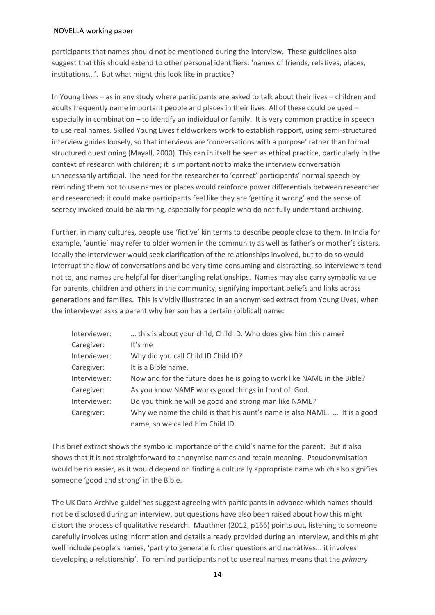participants that names should not be mentioned during the interview. These guidelines also suggest that this should extend to other personal identifiers: 'names of friends, relatives, places, institutions…'. But what might this look like in practice?

In Young Lives – as in any study where participants are asked to talk about their lives – children and adults frequently name important people and places in their lives. All of these could be used – especially in combination – to identify an individual or family. It is very common practice in speech to use real names. Skilled Young Lives fieldworkers work to establish rapport, using semi-structured interview guides loosely, so that interviews are 'conversations with a purpose' rather than formal structured questioning (Mayall, 2000). This can in itself be seen as ethical practice, particularly in the context of research with children; it is important not to make the interview conversation unnecessarily artificial. The need for the researcher to 'correct' participants' normal speech by reminding them not to use names or places would reinforce power differentials between researcher and researched: it could make participants feel like they are 'getting it wrong' and the sense of secrecy invoked could be alarming, especially for people who do not fully understand archiving.

Further, in many cultures, people use 'fictive' kin terms to describe people close to them. In India for example, 'auntie' may refer to older women in the community as well as father's or mother's sisters. Ideally the interviewer would seek clarification of the relationships involved, but to do so would interrupt the flow of conversations and be very time-consuming and distracting, so interviewers tend not to, and names are helpful for disentangling relationships. Names may also carry symbolic value for parents, children and others in the community, signifying important beliefs and links across generations and families. This is vividly illustrated in an anonymised extract from Young Lives, when the interviewer asks a parent why her son has a certain (biblical) name:

| Interviewer: | this is about your child, Child ID. Who does give him this name?          |
|--------------|---------------------------------------------------------------------------|
| Caregiver:   | It's me                                                                   |
| Interviewer: | Why did you call Child ID Child ID?                                       |
| Caregiver:   | It is a Bible name.                                                       |
| Interviewer: | Now and for the future does he is going to work like NAME in the Bible?   |
| Caregiver:   | As you know NAME works good things in front of God.                       |
| Interviewer: | Do you think he will be good and strong man like NAME?                    |
| Caregiver:   | Why we name the child is that his aunt's name is also NAME.  It is a good |
|              | name, so we called him Child ID.                                          |

This brief extract shows the symbolic importance of the child's name for the parent. But it also shows that it is not straightforward to anonymise names and retain meaning. Pseudonymisation would be no easier, as it would depend on finding a culturally appropriate name which also signifies someone 'good and strong' in the Bible.

The UK Data Archive guidelines suggest agreeing with participants in advance which names should not be disclosed during an interview, but questions have also been raised about how this might distort the process of qualitative research. Mauthner (2012, p166) points out, listening to someone carefully involves using information and details already provided during an interview, and this might well include people's names, 'partly to generate further questions and narratives... it involves developing a relationship'. To remind participants not to use real names means that the *primary*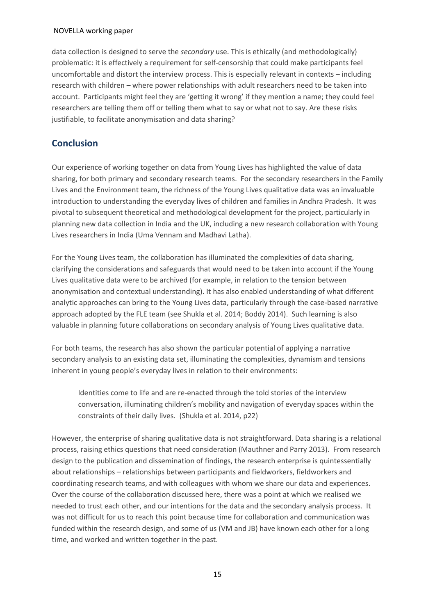data collection is designed to serve the *secondary* use. This is ethically (and methodologically) problematic: it is effectively a requirement for self-censorship that could make participants feel uncomfortable and distort the interview process. This is especially relevant in contexts – including research with children – where power relationships with adult researchers need to be taken into account. Participants might feel they are 'getting it wrong' if they mention a name; they could feel researchers are telling them off or telling them what to say or what not to say. Are these risks justifiable, to facilitate anonymisation and data sharing?

## **Conclusion**

Our experience of working together on data from Young Lives has highlighted the value of data sharing, for both primary and secondary research teams. For the secondary researchers in the Family Lives and the Environment team, the richness of the Young Lives qualitative data was an invaluable introduction to understanding the everyday lives of children and families in Andhra Pradesh. It was pivotal to subsequent theoretical and methodological development for the project, particularly in planning new data collection in India and the UK, including a new research collaboration with Young Lives researchers in India (Uma Vennam and Madhavi Latha).

For the Young Lives team, the collaboration has illuminated the complexities of data sharing, clarifying the considerations and safeguards that would need to be taken into account if the Young Lives qualitative data were to be archived (for example, in relation to the tension between anonymisation and contextual understanding). It has also enabled understanding of what different analytic approaches can bring to the Young Lives data, particularly through the case-based narrative approach adopted by the FLE team (see Shukla et al. 2014; Boddy 2014). Such learning is also valuable in planning future collaborations on secondary analysis of Young Lives qualitative data.

For both teams, the research has also shown the particular potential of applying a narrative secondary analysis to an existing data set, illuminating the complexities, dynamism and tensions inherent in young people's everyday lives in relation to their environments:

Identities come to life and are re-enacted through the told stories of the interview conversation, illuminating children's mobility and navigation of everyday spaces within the constraints of their daily lives. (Shukla et al. 2014, p22)

However, the enterprise of sharing qualitative data is not straightforward. Data sharing is a relational process, raising ethics questions that need consideration (Mauthner and Parry 2013). From research design to the publication and dissemination of findings, the research enterprise is quintessentially about relationships – relationships between participants and fieldworkers, fieldworkers and coordinating research teams, and with colleagues with whom we share our data and experiences. Over the course of the collaboration discussed here, there was a point at which we realised we needed to trust each other, and our intentions for the data and the secondary analysis process. It was not difficult for us to reach this point because time for collaboration and communication was funded within the research design, and some of us (VM and JB) have known each other for a long time, and worked and written together in the past.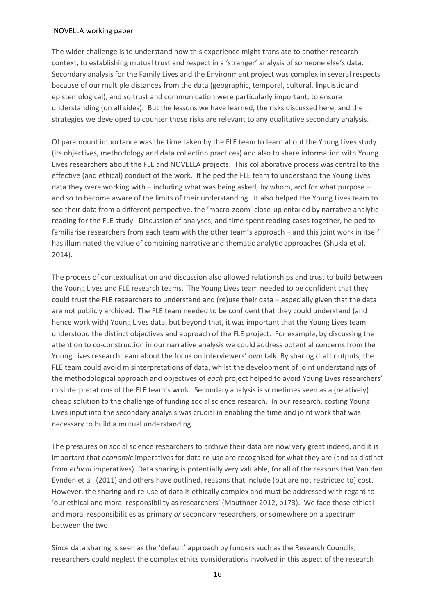The wider challenge is to understand how this experience might translate to another research context, to establishing mutual trust and respect in a 'stranger' analysis of someone else's data. Secondary analysis for the Family Lives and the Environment project was complex in several respects because of our multiple distances from the data (geographic, temporal, cultural, linguistic and epistemological), and so trust and communication were particularly important, to ensure understanding (on all sides). But the lessons we have learned, the risks discussed here, and the strategies we developed to counter those risks are relevant to any qualitative secondary analysis.

Of paramount importance was the time taken by the FLE team to learn about the Young Lives study (its objectives, methodology and data collection practices) and also to share information with Young Lives researchers about the FLE and NOVELLA projects. This collaborative process was central to the effective (and ethical) conduct of the work. It helped the FLE team to understand the Young Lives data they were working with – including what was being asked, by whom, and for what purpose – and so to become aware of the limits of their understanding. It also helped the Young Lives team to see their data from a different perspective, the 'macro-zoom' close-up entailed by narrative analytic reading for the FLE study. Discussion of analyses, and time spent reading cases together, helped to familiarise researchers from each team with the other team's approach – and this joint work in itself has illuminated the value of combining narrative and thematic analytic approaches (Shukla et al. 2014).

The process of contextualisation and discussion also allowed relationships and trust to build between the Young Lives and FLE research teams. The Young Lives team needed to be confident that they could trust the FLE researchers to understand and (re)use their data – especially given that the data are not publicly archived. The FLE team needed to be confident that they could understand (and hence work with) Young Lives data, but beyond that, it was important that the Young Lives team understood the distinct objectives and approach of the FLE project. For example, by discussing the attention to co-construction in our narrative analysis we could address potential concerns from the Young Lives research team about the focus on interviewers' own talk. By sharing draft outputs, the FLE team could avoid misinterpretations of data, whilst the development of joint understandings of the methodological approach and objectives of *each* project helped to avoid Young Lives researchers' misinterpretations of the FLE team's work. Secondary analysis is sometimes seen as a (relatively) cheap solution to the challenge of funding social science research. In our research, costing Young Lives input into the secondary analysis was crucial in enabling the time and joint work that was necessary to build a mutual understanding.

The pressures on social science researchers to archive their data are now very great indeed, and it is important that *economic* imperatives for data re-use are recognised for what they are (and as distinct from *ethical* imperatives). Data sharing is potentially very valuable, for all of the reasons that Van den Eynden et al. (2011) and others have outlined, reasons that include (but are not restricted to) cost. However, the sharing and re-use of data is ethically complex and must be addressed with regard to 'our ethical and moral responsibility as researchers' (Mauthner 2012, p173). We face these ethical and moral responsibilities as primary *or* secondary researchers, or somewhere on a spectrum between the two.

Since data sharing is seen as the 'default' approach by funders such as the Research Councils, researchers could neglect the complex ethics considerations involved in this aspect of the research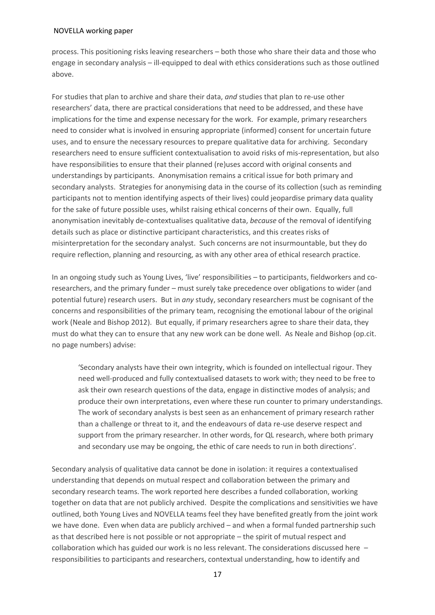process. This positioning risks leaving researchers – both those who share their data and those who engage in secondary analysis – ill-equipped to deal with ethics considerations such as those outlined above.

For studies that plan to archive and share their data, *and* studies that plan to re-use other researchers' data, there are practical considerations that need to be addressed, and these have implications for the time and expense necessary for the work. For example, primary researchers need to consider what is involved in ensuring appropriate (informed) consent for uncertain future uses, and to ensure the necessary resources to prepare qualitative data for archiving. Secondary researchers need to ensure sufficient contextualisation to avoid risks of mis-representation, but also have responsibilities to ensure that their planned (re)uses accord with original consents and understandings by participants. Anonymisation remains a critical issue for both primary and secondary analysts. Strategies for anonymising data in the course of its collection (such as reminding participants not to mention identifying aspects of their lives) could jeopardise primary data quality for the sake of future possible uses, whilst raising ethical concerns of their own. Equally, full anonymisation inevitably de-contextualises qualitative data, *because* of the removal of identifying details such as place or distinctive participant characteristics, and this creates risks of misinterpretation for the secondary analyst. Such concerns are not insurmountable, but they do require reflection, planning and resourcing, as with any other area of ethical research practice.

In an ongoing study such as Young Lives, 'live' responsibilities – to participants, fieldworkers and coresearchers, and the primary funder – must surely take precedence over obligations to wider (and potential future) research users. But in *any* study, secondary researchers must be cognisant of the concerns and responsibilities of the primary team, recognising the emotional labour of the original work (Neale and Bishop 2012). But equally, if primary researchers agree to share their data, they must do what they can to ensure that any new work can be done well. As Neale and Bishop (op.cit. no page numbers) advise:

'Secondary analysts have their own integrity, which is founded on intellectual rigour. They need well-produced and fully contextualised datasets to work with; they need to be free to ask their own research questions of the data, engage in distinctive modes of analysis; and produce their own interpretations, even where these run counter to primary understandings. The work of secondary analysts is best seen as an enhancement of primary research rather than a challenge or threat to it, and the endeavours of data re-use deserve respect and support from the primary researcher. In other words, for QL research, where both primary and secondary use may be ongoing, the ethic of care needs to run in both directions'.

Secondary analysis of qualitative data cannot be done in isolation: it requires a contextualised understanding that depends on mutual respect and collaboration between the primary and secondary research teams. The work reported here describes a funded collaboration, working together on data that are not publicly archived. Despite the complications and sensitivities we have outlined, both Young Lives and NOVELLA teams feel they have benefited greatly from the joint work we have done. Even when data are publicly archived – and when a formal funded partnership such as that described here is not possible or not appropriate – the spirit of mutual respect and collaboration which has guided our work is no less relevant. The considerations discussed here – responsibilities to participants and researchers, contextual understanding, how to identify and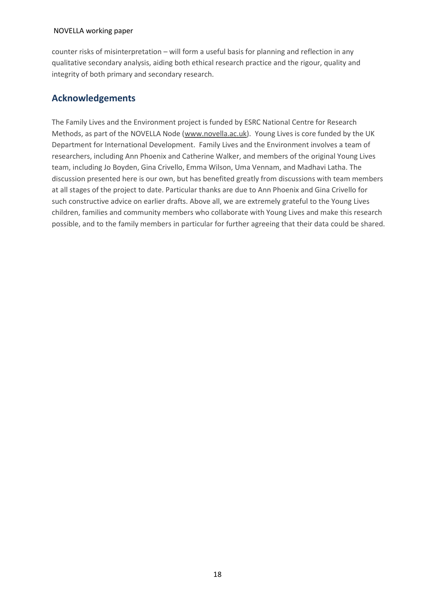counter risks of misinterpretation – will form a useful basis for planning and reflection in any qualitative secondary analysis, aiding both ethical research practice and the rigour, quality and integrity of both primary and secondary research.

## **Acknowledgements**

The Family Lives and the Environment project is funded by ESRC National Centre for Research Methods, as part of the NOVELLA Node [\(www.novella.ac.uk\)](http://www.novella.ac.uk/). Young Lives is core funded by the UK Department for International Development. Family Lives and the Environment involves a team of researchers, including Ann Phoenix and Catherine Walker, and members of the original Young Lives team, including Jo Boyden, Gina Crivello, Emma Wilson, Uma Vennam, and Madhavi Latha. The discussion presented here is our own, but has benefited greatly from discussions with team members at all stages of the project to date. Particular thanks are due to Ann Phoenix and Gina Crivello for such constructive advice on earlier drafts. Above all, we are extremely grateful to the Young Lives children, families and community members who collaborate with Young Lives and make this research possible, and to the family members in particular for further agreeing that their data could be shared.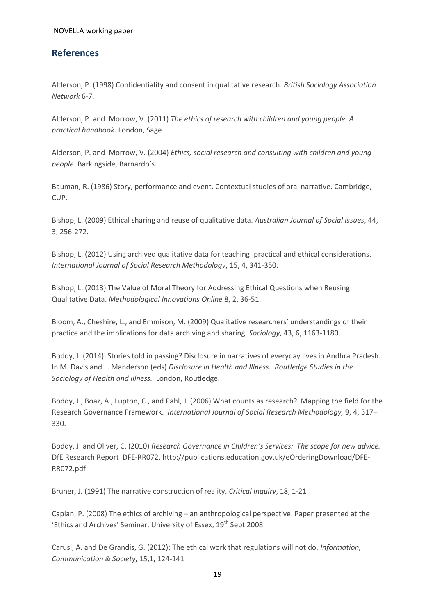## **References**

Alderson, P. (1998) Confidentiality and consent in qualitative research. *British Sociology Association Network* 6-7.

Alderson, P. and Morrow, V. (2011) *The ethics of research with children and young people. A practical handbook*. London, Sage.

Alderson, P. and Morrow, V. (2004) *Ethics, social research and consulting with children and young people*. Barkingside, Barnardo's.

Bauman, R. (1986) Story, performance and event. Contextual studies of oral narrative. Cambridge, CUP.

Bishop, L. (2009) Ethical sharing and reuse of qualitative data. *Australian Journal of Social Issues*, 44, 3, 256-272.

Bishop, L. (2012) Using archived qualitative data for teaching: practical and ethical considerations. *International Journal of Social Research Methodology*, 15, 4, 341-350.

Bishop, L. (2013) The Value of Moral Theory for Addressing Ethical Questions when Reusing Qualitative Data. *Methodological Innovations Online* 8, 2, 36-51.

Bloom, A., Cheshire, L., and Emmison, M. (2009) Qualitative researchers' understandings of their practice and the implications for data archiving and sharing. *Sociology*, 43, 6, 1163-1180.

Boddy, J. (2014) Stories told in passing? Disclosure in narratives of everyday lives in Andhra Pradesh. In M. Davis and L. Manderson (eds) *Disclosure in Health and Illness. Routledge Studies in the Sociology of Health and Illness.* London, Routledge.

Boddy, J., Boaz, A., Lupton, C., and Pahl, J. (2006) What counts as research? Mapping the field for the Research Governance Framework. *International Journal of Social Research Methodology,* **9**, 4, 317– 330.

Boddy, J. and Oliver, C. (2010) *Research Governance in Children's Services: The scope for new advice.*  DfE Research Report DFE-RR072. [http://publications.education.gov.uk/eOrderingDownload/DFE-](http://publications.education.gov.uk/eOrderingDownload/DFE-RR072.pdf)[RR072.pdf](http://publications.education.gov.uk/eOrderingDownload/DFE-RR072.pdf) 

Bruner, J. (1991) The narrative construction of reality. *Critical Inquiry*, 18, 1-21

Caplan, P. (2008) The ethics of archiving – an anthropological perspective. Paper presented at the 'Ethics and Archives' Seminar, University of Essex, 19<sup>th</sup> Sept 2008.

Carusi, A. and De Grandis, G. (2012): The ethical work that regulations will not do. *Information, Communication & Society*, 15,1, 124-141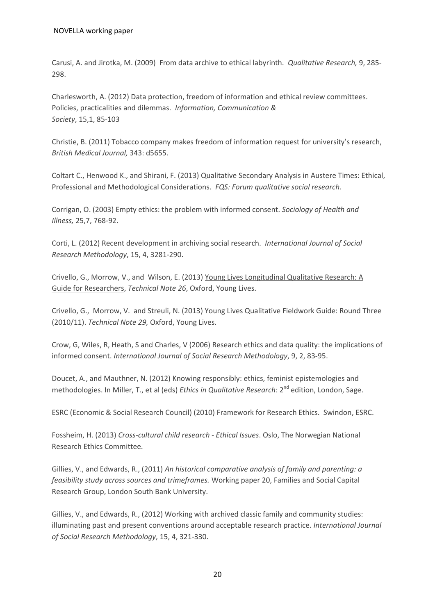Carusi, A. and Jirotka, M. (2009) From data archive to ethical labyrinth. *Qualitative Research,* 9, 285- 298.

Charlesworth, A. (2012) Data protection, freedom of information and ethical review committees. Policies, practicalities and dilemmas. *Information, Communication & Society*, 15,1, 85-103

Christie, B. (2011) Tobacco company makes freedom of information request for university's research, *British Medical Journal,* 343: d5655.

Coltart C., Henwood K., and Shirani, F. (2013) Qualitative Secondary Analysis in Austere Times: Ethical, Professional and Methodological Considerations. *FQS: Forum qualitative social research.*

Corrigan, O. (2003) Empty ethics: the problem with informed consent. *Sociology of Health and Illness,* 25,7, 768-92.

Corti, L. (2012) Recent development in archiving social research. *International Journal of Social Research Methodology*, 15, 4, 3281-290.

Crivello, G., Morrow, V., and Wilson, E. (2013) [Young Lives Longitudinal Qualitative Research: A](http://www.younglives.org.uk/publications/TN/young-lives-longitudinal-qualitative-research)  [Guide for Researchers,](http://www.younglives.org.uk/publications/TN/young-lives-longitudinal-qualitative-research) *Technical Note 26*, Oxford, Young Lives.

Crivello, G., Morrow, V. and Streuli, N. (2013) Young Lives Qualitative Fieldwork Guide: Round Three (2010/11). *Technical Note 29,* Oxford, Young Lives.

Crow, G, Wiles, R, Heath, S and Charles, V (2006) Research ethics and data quality: the implications of informed consent. *International Journal of Social Research Methodology*, 9, 2, 83-95.

Doucet, A., and Mauthner, N. (2012) Knowing responsibly: ethics, feminist epistemologies and methodologies. In Miller, T., et al (eds) *Ethics in Qualitative Research*: 2<sup>nd</sup> edition, London, Sage.

ESRC (Economic & Social Research Council) (2010) Framework for Research Ethics. Swindon, ESRC.

Fossheim, H. (2013) *Cross-cultural child research - Ethical Issues*. Oslo, The Norwegian National Research Ethics Committee.

Gillies, V., and Edwards, R., (2011) *An historical comparative analysis of family and parenting: a feasibility study across sources and trimeframes.* Working paper 20, Families and Social Capital Research Group, London South Bank University.

Gillies, V., and Edwards, R., (2012) Working with archived classic family and community studies: illuminating past and present conventions around acceptable research practice. *International Journal of Social Research Methodology*, 15, 4, 321-330.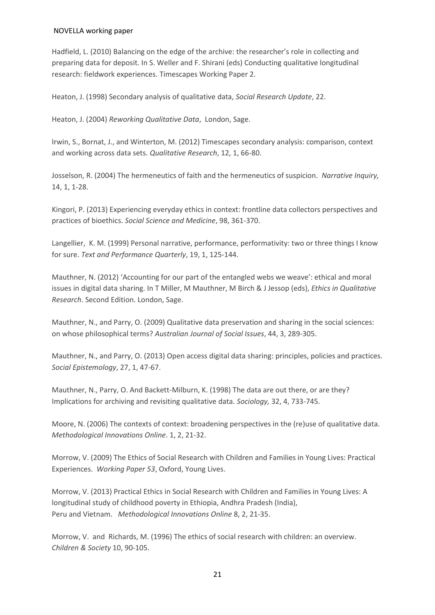Hadfield, L. (2010) Balancing on the edge of the archive: the researcher's role in collecting and preparing data for deposit. In S. Weller and F. Shirani (eds) Conducting qualitative longitudinal research: fieldwork experiences. Timescapes Working Paper 2.

Heaton, J. (1998) Secondary analysis of qualitative data, *Social Research Update*, 22.

Heaton, J. (2004) *Reworking Qualitative Data*, London, Sage.

Irwin, S., Bornat, J., and Winterton, M. (2012) Timescapes secondary analysis: comparison, context and working across data sets. *Qualitative Research*, 12, 1, 66-80.

Josselson, R. (2004) The hermeneutics of faith and the hermeneutics of suspicion. *Narrative Inquiry,*  14, 1, 1-28.

Kingori, P. (2013) Experiencing everyday ethics in context: frontline data collectors perspectives and practices of bioethics. *Social Science and Medicine*, 98, 361-370.

Langellier, K. M. (1999) Personal narrative, performance, performativity: two or three things I know for sure. *Text and Performance Quarterly*, 19, 1, 125-144.

Mauthner, N. (2012) 'Accounting for our part of the entangled webs we weave': ethical and moral issues in digital data sharing. In T Miller, M Mauthner, M Birch & J Jessop (eds), *Ethics in Qualitative Research*. Second Edition. London, Sage.

Mauthner, N., and Parry, O. (2009) Qualitative data preservation and sharing in the social sciences: on whose philosophical terms? *Australian Journal of Social Issues*, 44, 3, 289-305.

Mauthner, N., and Parry, O. (2013) Open access digital data sharing: principles, policies and practices. *Social Epistemology*, 27, 1, 47-67.

Mauthner, N., Parry, O. And Backett-Milburn, K. (1998) The data are out there, or are they? Implications for archiving and revisiting qualitative data. *Sociology,* 32, 4, 733-745.

Moore, N. (2006) The contexts of context: broadening perspectives in the (re)use of qualitative data. *Methodological Innovations Online*. 1, 2, 21-32.

Morrow, V. (2009) The Ethics of Social Research with Children and Families in Young Lives: Practical Experiences. *Working Paper 53*, Oxford, Young Lives.

Morrow, V. (2013) Practical Ethics in Social Research with Children and Families in Young Lives: A longitudinal study of childhood poverty in Ethiopia, Andhra Pradesh (India), Peru and Vietnam. *Methodological Innovations Online* 8, 2, 21-35.

Morrow, V. and Richards, M. (1996) The ethics of social research with children: an overview. *Children & Society* 10, 90-105.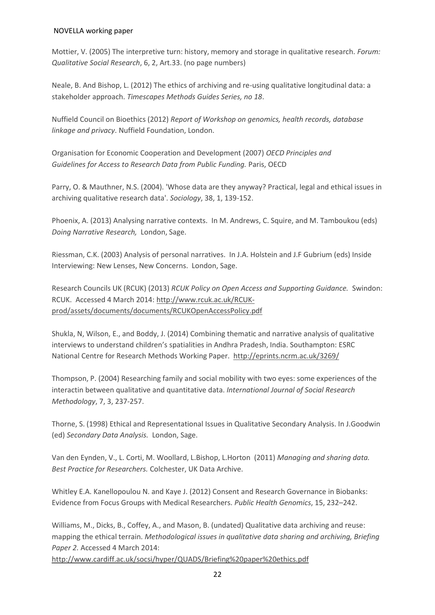Mottier, V. (2005) The interpretive turn: history, memory and storage in qualitative research. *Forum: Qualitative Social Research*, 6, 2, Art.33. (no page numbers)

Neale, B. And Bishop, L. (2012) The ethics of archiving and re-using qualitative longitudinal data: a stakeholder approach. *Timescapes Methods Guides Series, no 18*.

Nuffield Council on Bioethics (2012) *Report of Workshop on genomics, health records, database linkage and privacy*. Nuffield Foundation, London.

Organisation for Economic Cooperation and Development (2007) *OECD Principles and Guidelines for Access to Research Data from Public Funding.* Paris, OECD

Parry, O. & Mauthner, N.S. (2004). 'Whose data are they anyway? Practical, legal and ethical issues in archiving qualitative research data'. *Sociology*, 38, 1, 139-152.

Phoenix, A. (2013) Analysing narrative contexts. In M. Andrews, C. Squire, and M. Tamboukou (eds) *Doing Narrative Research,* London, Sage.

Riessman, C.K. (2003) Analysis of personal narratives. In J.A. Holstein and J.F Gubrium (eds) Inside Interviewing: New Lenses, New Concerns. London, Sage.

Research Councils UK (RCUK) (2013) *RCUK Policy on Open Access and Supporting Guidance.* Swindon: RCUK. Accessed 4 March 2014: [http://www.rcuk.ac.uk/RCUK](http://www.rcuk.ac.uk/RCUK-prod/assets/documents/documents/RCUKOpenAccessPolicy.pdf)[prod/assets/documents/documents/RCUKOpenAccessPolicy.pdf](http://www.rcuk.ac.uk/RCUK-prod/assets/documents/documents/RCUKOpenAccessPolicy.pdf)

Shukla, N, Wilson, E., and Boddy, J. (2014) Combining thematic and narrative analysis of qualitative interviews to understand children's spatialities in Andhra Pradesh, India. Southampton: ESRC National Centre for Research Methods Working Paper. <http://eprints.ncrm.ac.uk/3269/>

Thompson, P. (2004) Researching family and social mobility with two eyes: some experiences of the interactin between qualitative and quantitative data. *International Journal of Social Research Methodology*, 7, 3, 237-257.

Thorne, S. (1998) Ethical and Representational Issues in Qualitative Secondary Analysis. In J.Goodwin (ed) *Secondary Data Analysis.* London, Sage.

Van den Eynden, V., L. Corti, M. Woollard, L.Bishop, L.Horton (2011) *Managing and sharing data. Best Practice for Researchers.* Colchester, UK Data Archive.

Whitley E.A. Kanellopoulou N. and Kaye J. (2012) Consent and Research Governance in Biobanks: Evidence from Focus Groups with Medical Researchers. *Public Health Genomics*, 15, 232–242.

Williams, M., Dicks, B., Coffey, A., and Mason, B. (undated) Qualitative data archiving and reuse: mapping the ethical terrain. *Methodological issues in qualitative data sharing and archiving, Briefing Paper 2.* Accessed 4 March 2014:

<http://www.cardiff.ac.uk/socsi/hyper/QUADS/Briefing%20paper%20ethics.pdf>